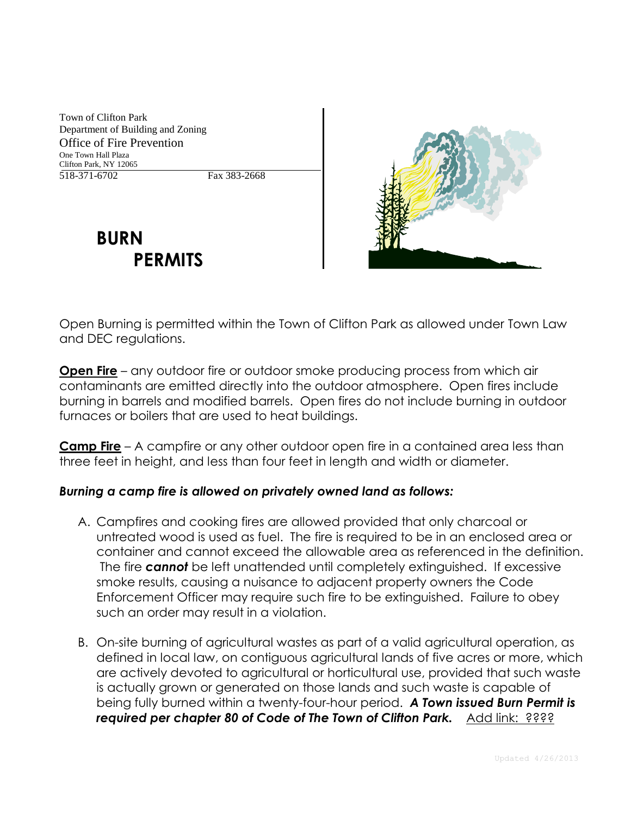Town of Clifton Park Department of Building and Zoning Office of Fire Prevention One Town Hall Plaza Clifton Park, NY 12065 518-371-6702 Fax 383-2668

## **BURN PERMITS**



Open Burning is permitted within the Town of Clifton Park as allowed under Town Law and DEC regulations.

**Open Fire** – any outdoor fire or outdoor smoke producing process from which air contaminants are emitted directly into the outdoor atmosphere. Open fires include burning in barrels and modified barrels. Open fires do not include burning in outdoor furnaces or boilers that are used to heat buildings.

**Camp Fire** – A campfire or any other outdoor open fire in a contained area less than three feet in height, and less than four feet in length and width or diameter.

## *Burning a camp fire is allowed on privately owned land as follows:*

- A. Campfires and cooking fires are allowed provided that only charcoal or untreated wood is used as fuel. The fire is required to be in an enclosed area or container and cannot exceed the allowable area as referenced in the definition. The fire *cannot* be left unattended until completely extinguished. If excessive smoke results, causing a nuisance to adjacent property owners the Code Enforcement Officer may require such fire to be extinguished. Failure to obey such an order may result in a violation.
- B. On-site burning of agricultural wastes as part of a valid agricultural operation, as defined in local law, on contiguous agricultural lands of five acres or more, which are actively devoted to agricultural or horticultural use, provided that such waste is actually grown or generated on those lands and such waste is capable of being fully burned within a twenty-four-hour period. *A Town issued Burn Permit is*  required per chapter 80 of Code of The Town of Clifton Park. Add link: ????